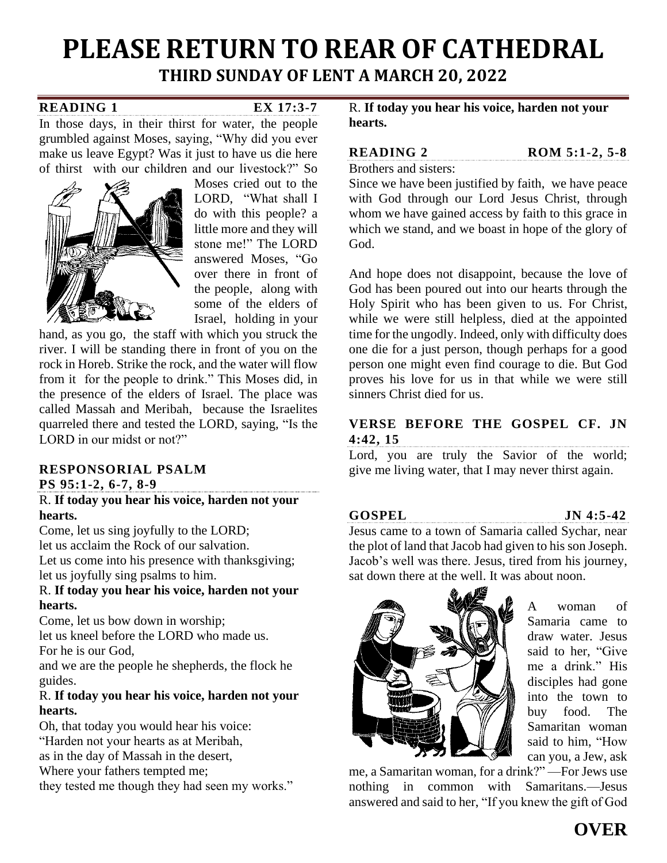# **PLEASE RETURN TO REAR OF CATHEDRAL THIRD SUNDAY OF LENT A MARCH 20, 2022**

### **READING 1 [EX 17:3-7](http://www.usccb.org/bible/exodus/17:3)**

In those days, in their thirst for water, the people grumbled against Moses, saying, "Why did you ever make us leave Egypt? Was it just to have us die here of thirst with our children and our livestock?" So



Moses cried out to the LORD, "What shall I do with this people? a little more and they will stone me!" The LORD answered Moses, "Go over there in front of the people, along with some of the elders of Israel, holding in your

hand, as you go, the staff with which you struck the river. I will be standing there in front of you on the rock in Horeb. Strike the rock, and the water will flow from it for the people to drink." This Moses did, in the presence of the elders of Israel. The place was called Massah and Meribah, because the Israelites quarreled there and tested the LORD, saying, "Is the LORD in our midst or not?"

# **RESPONSORIAL PSALM**

**[PS 95:1-2, 6-7, 8-9](http://www.usccb.org/bible/psalms/95:1)**

### R. **If today you hear his voice, harden not your hearts.**

Come, let us sing joyfully to the LORD; let us acclaim the Rock of our salvation. Let us come into his presence with thanksgiving; let us joyfully sing psalms to him.

# R. **If today you hear his voice, harden not your hearts.**

Come, let us bow down in worship; let us kneel before the LORD who made us. For he is our God,

and we are the people he shepherds, the flock he guides.

## R. **If today you hear his voice, harden not your hearts.**

Oh, that today you would hear his voice: "Harden not your hearts as at Meribah,

as in the day of Massah in the desert,

Where your fathers tempted me;

they tested me though they had seen my works."

R. **If today you hear his voice, harden not your hearts.**

**READING 2 [ROM 5:1-2, 5-8](http://www.usccb.org/bible/romans/5:1)** 

Brothers and sisters:

Since we have been justified by faith, we have peace with God through our Lord Jesus Christ, through whom we have gained access by faith to this grace in which we stand, and we boast in hope of the glory of God.

And hope does not disappoint, because the love of God has been poured out into our hearts through the Holy Spirit who has been given to us. For Christ, while we were still helpless, died at the appointed time for the ungodly. Indeed, only with difficulty does one die for a just person, though perhaps for a good person one might even find courage to die. But God proves his love for us in that while we were still sinners Christ died for us.

# **VERSE BEFORE THE GOSPEL [CF. JN](http://www.usccb.org/bible/john/4:42)  [4:42, 15](http://www.usccb.org/bible/john/4:42)**

Lord, you are truly the Savior of the world; give me living water, that I may never thirst again.

**GOSPEL [JN 4:5-42](http://www.usccb.org/bible/4:5)**

Jesus came to a town of Samaria called Sychar, near the plot of land that Jacob had given to his son Joseph. Jacob's well was there. Jesus, tired from his journey, sat down there at the well. It was about noon.



A woman of Samaria came to draw water. Jesus said to her, "Give me a drink." His disciples had gone into the town to buy food. The Samaritan woman said to him, "How can you, a Jew, ask

me, a Samaritan woman, for a drink?" —For Jews use nothing in common with Samaritans.—Jesus answered and said to her, "If you knew the gift of God